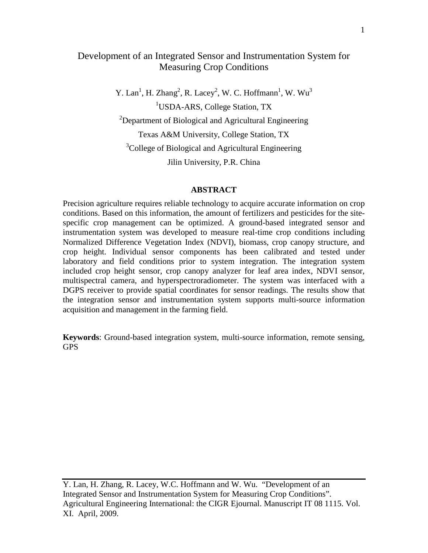# Development of an Integrated Sensor and Instrumentation System for Measuring Crop Conditions

Y. Lan<sup>1</sup>, H. Zhang<sup>2</sup>, R. Lacey<sup>2</sup>, W. C. Hoffmann<sup>1</sup>, W. Wu<sup>3</sup> <sup>1</sup>USDA-ARS, College Station, TX  $2$ Department of Biological and Agricultural Engineering Texas A&M University, College Station, TX <sup>3</sup>College of Biological and Agricultural Engineering Jilin University, P.R. China

#### **ABSTRACT**

Precision agriculture requires reliable technology to acquire accurate information on crop conditions. Based on this information, the amount of fertilizers and pesticides for the sitespecific crop management can be optimized. A ground-based integrated sensor and instrumentation system was developed to measure real-time crop conditions including Normalized Difference Vegetation Index (NDVI), biomass, crop canopy structure, and crop height. Individual sensor components has been calibrated and tested under laboratory and field conditions prior to system integration. The integration system included crop height sensor, crop canopy analyzer for leaf area index, NDVI sensor, multispectral camera, and hyperspectroradiometer. The system was interfaced with a DGPS receiver to provide spatial coordinates for sensor readings. The results show that the integration sensor and instrumentation system supports multi-source information acquisition and management in the farming field.

**Keywords**: Ground-based integration system, multi-source information, remote sensing, GPS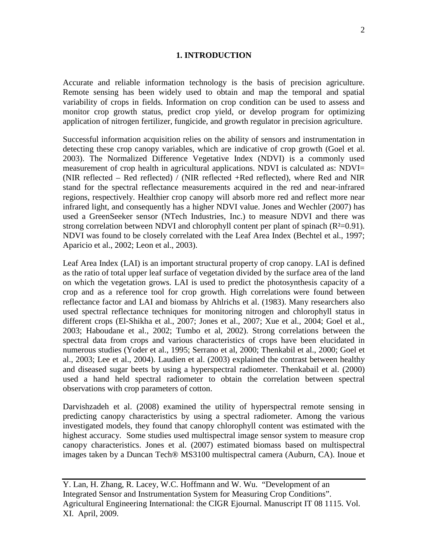#### **1. INTRODUCTION**

Accurate and reliable information technology is the basis of precision agriculture. Remote sensing has been widely used to obtain and map the temporal and spatial variability of crops in fields. Information on crop condition can be used to assess and monitor crop growth status, predict crop yield, or develop program for optimizing application of nitrogen fertilizer, fungicide, and growth regulator in precision agriculture.

Successful information acquisition relies on the ability of sensors and instrumentation in detecting these crop canopy variables, which are indicative of crop growth (Goel et al. 2003). The Normalized Difference Vegetative Index (NDVI) is a commonly used measurement of crop health in agricultural applications. NDVI is calculated as: NDVI= (NIR reflected – Red reflected) / (NIR reflected +Red reflected), where Red and NIR stand for the spectral reflectance measurements acquired in the red and near-infrared regions, respectively. Healthier crop canopy will absorb more red and reflect more near infrared light, and consequently has a higher NDVI value. Jones and Wechler (2007) has used a GreenSeeker sensor (NTech Industries, Inc.) to measure NDVI and there was strong correlation between NDVI and chlorophyll content per plant of spinach  $(R<sup>2</sup>=0.91)$ . NDVI was found to be closely correlated with the Leaf Area Index (Bechtel et al., 1997; Aparicio et al., 2002; Leon et al., 2003).

Leaf Area Index (LAI) is an important structural property of crop canopy. LAI is defined as the ratio of total upper leaf surface of vegetation divided by the surface area of the land on which the vegetation grows. LAI is used to predict the photosynthesis capacity of a crop and as a reference tool for crop growth. High correlations were found between reflectance factor and LAI and biomass by Ahlrichs et al. (1983). Many researchers also used spectral reflectance techniques for monitoring nitrogen and chlorophyll status in different crops (El-Shikha et al., 2007; Jones et al., 2007; Xue et al., 2004; Goel et al., 2003; Haboudane et al., 2002; Tumbo et al, 2002). Strong correlations between the spectral data from crops and various characteristics of crops have been elucidated in numerous studies (Yoder et al., 1995; Serrano et al, 2000; Thenkabil et al., 2000; Goel et al., 2003; Lee et al., 2004). Laudien et al. (2003) explained the contrast between healthy and diseased sugar beets by using a hyperspectral radiometer. Thenkabail et al. (2000) used a hand held spectral radiometer to obtain the correlation between spectral observations with crop parameters of cotton.

Darvishzadeh et al. (2008) examined the utility of hyperspectral remote sensing in predicting canopy characteristics by using a spectral radiometer. Among the various investigated models, they found that canopy chlorophyll content was estimated with the highest accuracy. Some studies used multispectral image sensor system to measure crop canopy characteristics. Jones et al. (2007) estimated biomass based on multispectral images taken by a Duncan Tech® MS3100 multispectral camera (Auburn, CA). Inoue et

Y. Lan, H. Zhang, R. Lacey, W.C. Hoffmann and W. Wu. "Development of an Integrated Sensor and Instrumentation System for Measuring Crop Conditions". Agricultural Engineering International: the CIGR Ejournal. Manuscript IT 08 1115. Vol. XI. April, 2009.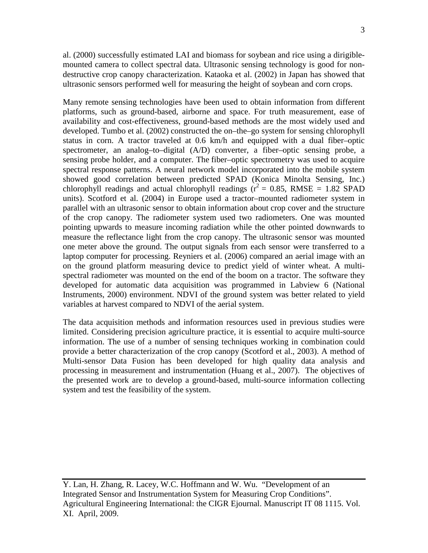al. (2000) successfully estimated LAI and biomass for soybean and rice using a dirigiblemounted camera to collect spectral data. Ultrasonic sensing technology is good for nondestructive crop canopy characterization. Kataoka et al. (2002) in Japan has showed that ultrasonic sensors performed well for measuring the height of soybean and corn crops.

Many remote sensing technologies have been used to obtain information from different platforms, such as ground-based, airborne and space. For truth measurement, ease of availability and cost-effectiveness, ground-based methods are the most widely used and developed. Tumbo et al. (2002) constructed the on–the–go system for sensing chlorophyll status in corn. A tractor traveled at 0.6 km/h and equipped with a dual fiber–optic spectrometer, an analog–to–digital (A/D) converter, a fiber–optic sensing probe, a sensing probe holder, and a computer. The fiber–optic spectrometry was used to acquire spectral response patterns. A neural network model incorporated into the mobile system showed good correlation between predicted SPAD (Konica Minolta Sensing, Inc.) chlorophyll readings and actual chlorophyll readings ( $r^2 = 0.85$ , RMSE = 1.82 SPAD units). Scotford et al. (2004) in Europe used a tractor–mounted radiometer system in parallel with an ultrasonic sensor to obtain information about crop cover and the structure of the crop canopy. The radiometer system used two radiometers. One was mounted pointing upwards to measure incoming radiation while the other pointed downwards to measure the reflectance light from the crop canopy. The ultrasonic sensor was mounted one meter above the ground. The output signals from each sensor were transferred to a laptop computer for processing. Reyniers et al. (2006) compared an aerial image with an on the ground platform measuring device to predict yield of winter wheat. A multispectral radiometer was mounted on the end of the boom on a tractor. The software they developed for automatic data acquisition was programmed in Labview 6 (National Instruments, 2000) environment. NDVI of the ground system was better related to yield variables at harvest compared to NDVI of the aerial system.

The data acquisition methods and information resources used in previous studies were limited. Considering precision agriculture practice, it is essential to acquire multi-source information. The use of a number of sensing techniques working in combination could provide a better characterization of the crop canopy (Scotford et al., 2003). A method of Multi-sensor Data Fusion has been developed for high quality data analysis and processing in measurement and instrumentation (Huang et al., 2007). The objectives of the presented work are to develop a ground-based, multi-source information collecting system and test the feasibility of the system.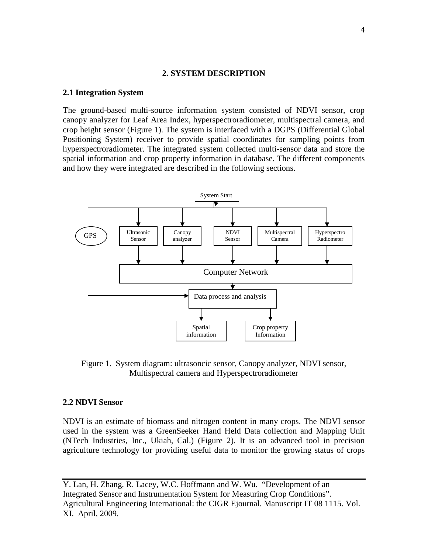#### **2. SYSTEM DESCRIPTION**

#### **2.1 Integration System**

The ground-based multi-source information system consisted of NDVI sensor, crop canopy analyzer for Leaf Area Index, hyperspectroradiometer, multispectral camera, and crop height sensor (Figure 1). The system is interfaced with a DGPS (Differential Global Positioning System) receiver to provide spatial coordinates for sampling points from hyperspectroradiometer. The integrated system collected multi-sensor data and store the spatial information and crop property information in database. The different components and how they were integrated are described in the following sections.



Figure 1. System diagram: ultrasoncic sensor, Canopy analyzer, NDVI sensor, Multispectral camera and Hyperspectroradiometer

#### **2.2 NDVI Sensor**

NDVI is an estimate of biomass and nitrogen content in many crops. The NDVI sensor used in the system was a GreenSeeker Hand Held Data collection and Mapping Unit (NTech Industries, Inc., Ukiah, Cal.) (Figure 2). It is an advanced tool in precision agriculture technology for providing useful data to monitor the growing status of crops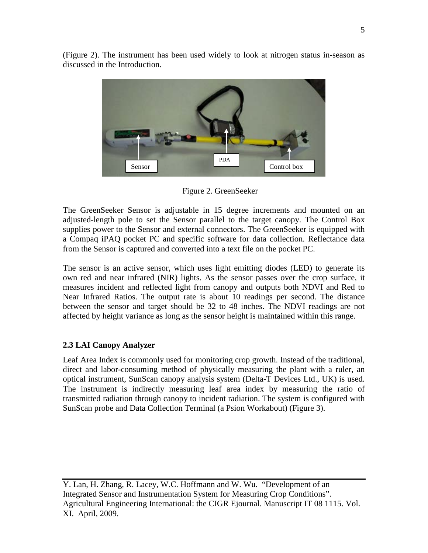

(Figure 2). The instrument has been used widely to look at nitrogen status in-season as discussed in the Introduction.

Figure 2. GreenSeeker

The GreenSeeker Sensor is adjustable in 15 degree increments and mounted on an adjusted-length pole to set the Sensor parallel to the target canopy. The Control Box supplies power to the Sensor and external connectors. The GreenSeeker is equipped with a Compaq iPAQ pocket PC and specific software for data collection. Reflectance data from the Sensor is captured and converted into a text file on the pocket PC.

The sensor is an active sensor, which uses light emitting diodes (LED) to generate its own red and near infrared (NIR) lights. As the sensor passes over the crop surface, it measures incident and reflected light from canopy and outputs both NDVI and Red to Near Infrared Ratios. The output rate is about 10 readings per second. The distance between the sensor and target should be 32 to 48 inches. The NDVI readings are not affected by height variance as long as the sensor height is maintained within this range.

# **2.3 LAI Canopy Analyzer**

Leaf Area Index is commonly used for monitoring crop growth. Instead of the traditional, direct and labor-consuming method of physically measuring the plant with a ruler, an optical instrument, SunScan canopy analysis system (Delta-T Devices Ltd., UK) is used. The instrument is indirectly measuring leaf area index by measuring the ratio of transmitted radiation through canopy to incident radiation. The system is configured with SunScan probe and Data Collection Terminal (a Psion Workabout) (Figure 3).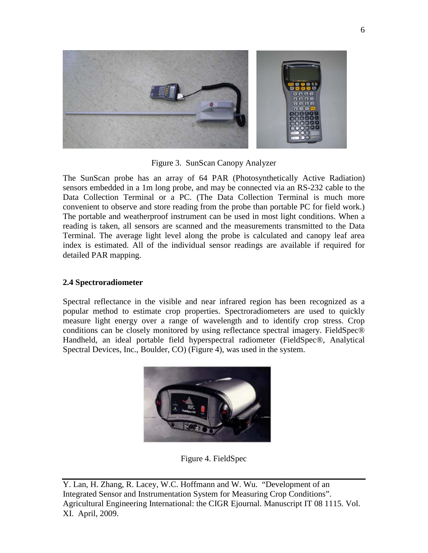

Figure 3. SunScan Canopy Analyzer

The SunScan probe has an array of 64 PAR (Photosynthetically Active Radiation) sensors embedded in a 1m long probe, and may be connected via an RS-232 cable to the Data Collection Terminal or a PC. (The Data Collection Terminal is much more convenient to observe and store reading from the probe than portable PC for field work.) The portable and weatherproof instrument can be used in most light conditions. When a reading is taken, all sensors are scanned and the measurements transmitted to the Data Terminal. The average light level along the probe is calculated and canopy leaf area index is estimated. All of the individual sensor readings are available if required for detailed PAR mapping.

### **2.4 Spectroradiometer**

Spectral reflectance in the visible and near infrared region has been recognized as a popular method to estimate crop properties. Spectroradiometers are used to quickly measure light energy over a range of wavelength and to identify crop stress. Crop conditions can be closely monitored by using reflectance spectral imagery. FieldSpec® Handheld, an ideal portable field hyperspectral radiometer (FieldSpec®, Analytical Spectral Devices, Inc., Boulder, CO) (Figure 4), was used in the system.



Figure 4. FieldSpec

Y. Lan, H. Zhang, R. Lacey, W.C. Hoffmann and W. Wu. "Development of an Integrated Sensor and Instrumentation System for Measuring Crop Conditions". Agricultural Engineering International: the CIGR Ejournal. Manuscript IT 08 1115. Vol. XI. April, 2009.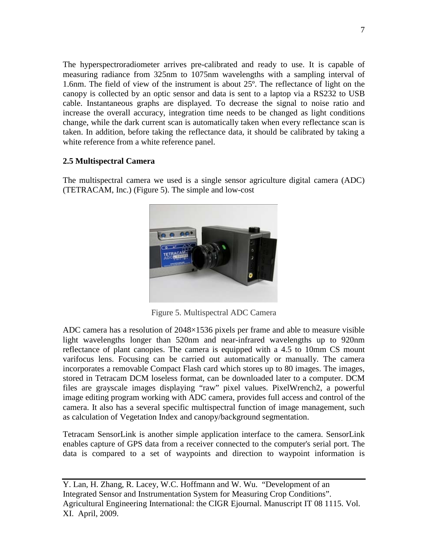The hyperspectroradiometer arrives pre-calibrated and ready to use. It is capable of measuring radiance from 325nm to 1075nm wavelengths with a sampling interval of 1.6nm. The field of view of the instrument is about 25º. The reflectance of light on the canopy is collected by an optic sensor and data is sent to a laptop via a RS232 to USB cable. Instantaneous graphs are displayed. To decrease the signal to noise ratio and increase the overall accuracy, integration time needs to be changed as light conditions change, while the dark current scan is automatically taken when every reflectance scan is taken. In addition, before taking the reflectance data, it should be calibrated by taking a white reference from a white reference panel.

# **2.5 Multispectral Camera**

The multispectral camera we used is a single sensor agriculture digital camera (ADC) (TETRACAM, Inc.) (Figure 5). The simple and low-cost



Figure 5. Multispectral ADC Camera

ADC camera has a resolution of 2048×1536 pixels per frame and able to measure visible light wavelengths longer than 520nm and near-infrared wavelengths up to 920nm reflectance of plant canopies. The camera is equipped with a 4.5 to 10mm CS mount varifocus lens. Focusing can be carried out automatically or manually. The camera incorporates a removable Compact Flash card which stores up to 80 images. The images, stored in Tetracam DCM loseless format, can be downloaded later to a computer. DCM files are grayscale images displaying "raw" pixel values. PixelWrench2, a powerful image editing program working with ADC camera, provides full access and control of the camera. It also has a several specific multispectral function of image management, such as calculation of Vegetation Index and canopy/background segmentation.

Tetracam SensorLink is another simple application interface to the camera. SensorLink enables capture of GPS data from a receiver connected to the computer's serial port. The data is compared to a set of waypoints and direction to waypoint information is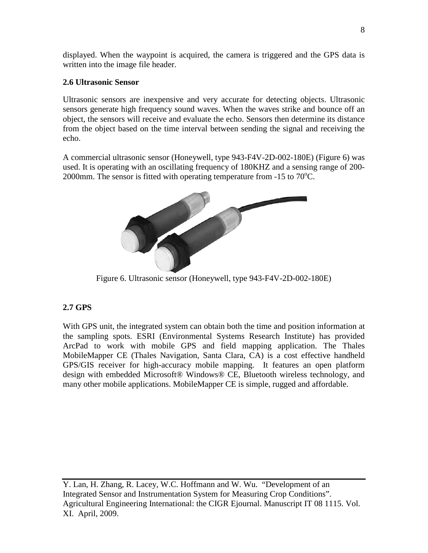displayed. When the waypoint is acquired, the camera is triggered and the GPS data is written into the image file header.

# **2.6 Ultrasonic Sensor**

Ultrasonic sensors are inexpensive and very accurate for detecting objects. Ultrasonic sensors generate high frequency sound waves. When the waves strike and bounce off an object, the sensors will receive and evaluate the echo. Sensors then determine its distance from the object based on the time interval between sending the signal and receiving the echo.

A commercial ultrasonic sensor (Honeywell, type 943-F4V-2D-002-180E) (Figure 6) was used. It is operating with an oscillating frequency of 180KHZ and a sensing range of 200- 2000mm. The sensor is fitted with operating temperature from  $-15$  to  $70^{\circ}$ C.



Figure 6. Ultrasonic sensor (Honeywell, type 943-F4V-2D-002-180E)

# **2.7 GPS**

With GPS unit, the integrated system can obtain both the time and position information at the sampling spots. ESRI (Environmental Systems Research Institute) has provided ArcPad to work with mobile GPS and field mapping application. The Thales MobileMapper CE (Thales Navigation, Santa Clara, CA) is a cost effective handheld GPS/GIS receiver for high-accuracy mobile mapping. It features an open platform design with embedded Microsoft® Windows® CE, Bluetooth wireless technology, and many other mobile applications. MobileMapper CE is simple, rugged and affordable.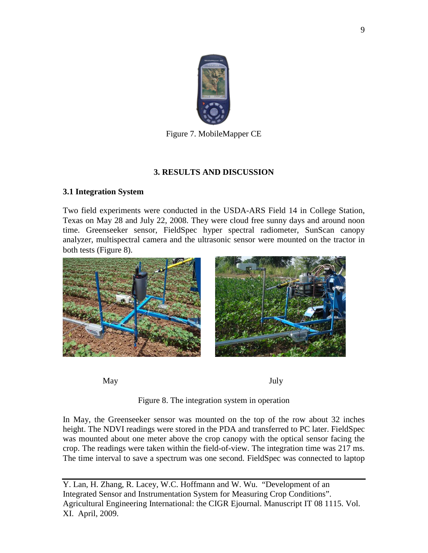

Figure 7. MobileMapper CE

# **3. RESULTS AND DISCUSSION**

# **3.1 Integration System**

Two field experiments were conducted in the USDA-ARS Field 14 in College Station, Texas on May 28 and July 22, 2008. They were cloud free sunny days and around noon time. Greenseeker sensor, FieldSpec hyper spectral radiometer, SunScan canopy analyzer, multispectral camera and the ultrasonic sensor were mounted on the tractor in both tests (Figure 8).



May July

Figure 8. The integration system in operation

In May, the Greenseeker sensor was mounted on the top of the row about 32 inches height. The NDVI readings were stored in the PDA and transferred to PC later. FieldSpec was mounted about one meter above the crop canopy with the optical sensor facing the crop. The readings were taken within the field-of-view. The integration time was 217 ms. The time interval to save a spectrum was one second. FieldSpec was connected to laptop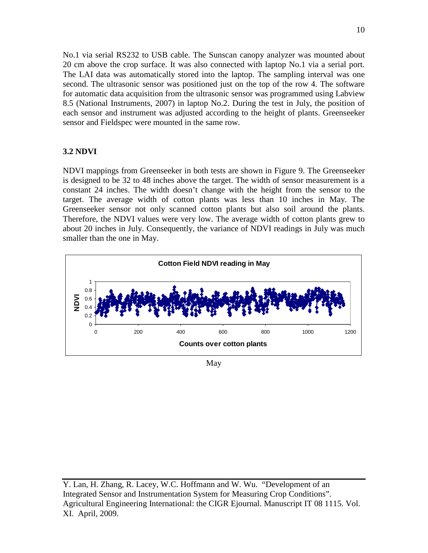No.1 via serial RS232 to USB cable. The Sunscan canopy analyzer was mounted about 20 cm above the crop surface. It was also connected with laptop No.1 via a serial port. The LAI data was automatically stored into the laptop. The sampling interval was one second. The ultrasonic sensor was positioned just on the top of the row 4. The software for automatic data acquisition from the ultrasonic sensor was programmed using Labview 8.5 (National Instruments, 2007) in laptop No.2. During the test in July, the position of each sensor and instrument was adjusted according to the height of plants. Greenseeker sensor and Fieldspec were mounted in the same row.

## **3.2 NDVI**

NDVI mappings from Greenseeker in both tests are shown in Figure 9. The Greenseeker is designed to be 32 to 48 inches above the target. The width of sensor measurement is a constant 24 inches. The width doesn't change with the height from the sensor to the target. The average width of cotton plants was less than 10 inches in May. The Greenseeker sensor not only scanned cotton plants but also soil around the plants. Therefore, the NDVI values were very low. The average width of cotton plants grew to about 20 inches in July. Consequently, the variance of NDVI readings in July was much smaller than the one in May.



May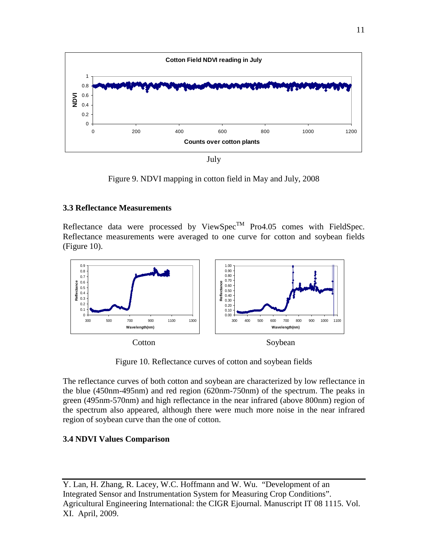

July

Figure 9. NDVI mapping in cotton field in May and July, 2008

## **3.3 Reflectance Measurements**

Reflectance data were processed by ViewSpec<sup>TM</sup> Pro4.05 comes with FieldSpec. Reflectance measurements were averaged to one curve for cotton and soybean fields (Figure 10).



Figure 10. Reflectance curves of cotton and soybean fields

The reflectance curves of both cotton and soybean are characterized by low reflectance in the blue (450nm-495nm) and red region (620nm-750nm) of the spectrum. The peaks in green (495nm-570nm) and high reflectance in the near infrared (above 800nm) region of the spectrum also appeared, although there were much more noise in the near infrared region of soybean curve than the one of cotton.

# **3.4 NDVI Values Comparison**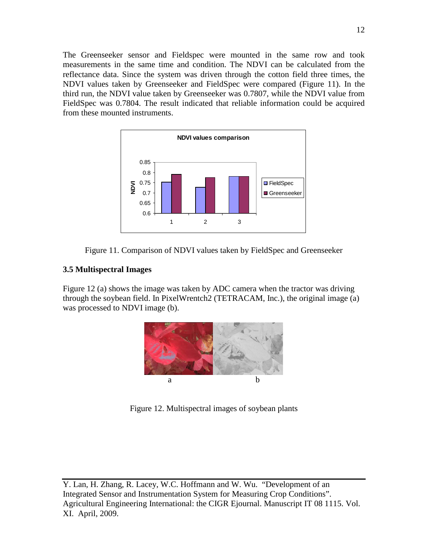The Greenseeker sensor and Fieldspec were mounted in the same row and took measurements in the same time and condition. The NDVI can be calculated from the reflectance data. Since the system was driven through the cotton field three times, the NDVI values taken by Greenseeker and FieldSpec were compared (Figure 11). In the third run, the NDVI value taken by Greenseeker was 0.7807, while the NDVI value from FieldSpec was 0.7804. The result indicated that reliable information could be acquired from these mounted instruments.





### **3.5 Multispectral Images**

Figure 12 (a) shows the image was taken by ADC camera when the tractor was driving through the soybean field. In PixelWrentch2 (TETRACAM, Inc.), the original image (a) was processed to NDVI image (b).



Figure 12. Multispectral images of soybean plants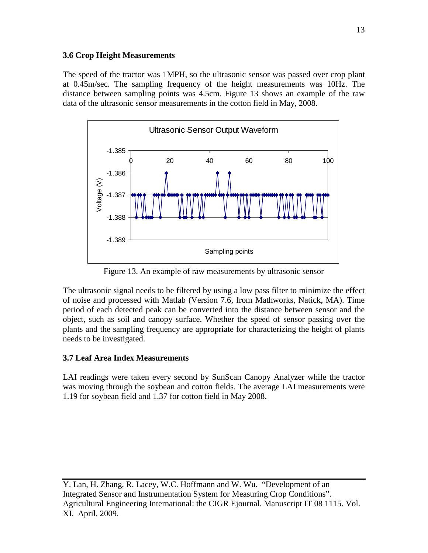## **3.6 Crop Height Measurements**

The speed of the tractor was 1MPH, so the ultrasonic sensor was passed over crop plant at 0.45m/sec. The sampling frequency of the height measurements was 10Hz. The distance between sampling points was 4.5cm. Figure 13 shows an example of the raw data of the ultrasonic sensor measurements in the cotton field in May, 2008.



Figure 13. An example of raw measurements by ultrasonic sensor

The ultrasonic signal needs to be filtered by using a low pass filter to minimize the effect of noise and processed with Matlab (Version 7.6, from Mathworks, Natick, MA). Time period of each detected peak can be converted into the distance between sensor and the object, such as soil and canopy surface. Whether the speed of sensor passing over the plants and the sampling frequency are appropriate for characterizing the height of plants needs to be investigated.

# **3.7 Leaf Area Index Measurements**

LAI readings were taken every second by SunScan Canopy Analyzer while the tractor was moving through the soybean and cotton fields. The average LAI measurements were 1.19 for soybean field and 1.37 for cotton field in May 2008.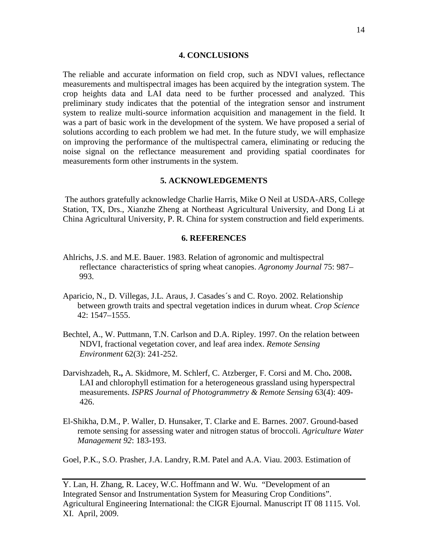#### **4. CONCLUSIONS**

The reliable and accurate information on field crop, such as NDVI values, reflectance measurements and multispectral images has been acquired by the integration system. The crop heights data and LAI data need to be further processed and analyzed. This preliminary study indicates that the potential of the integration sensor and instrument system to realize multi-source information acquisition and management in the field. It was a part of basic work in the development of the system. We have proposed a serial of solutions according to each problem we had met. In the future study, we will emphasize on improving the performance of the multispectral camera, eliminating or reducing the noise signal on the reflectance measurement and providing spatial coordinates for measurements form other instruments in the system.

#### **5. ACKNOWLEDGEMENTS**

The authors gratefully acknowledge Charlie Harris, Mike O Neil at USDA-ARS, College Station, TX, Drs., Xianzhe Zheng at Northeast Agricultural University, and Dong Li at China Agricultural University, P. R. China for system construction and field experiments.

#### **6. REFERENCES**

- Ahlrichs, J.S. and M.E. Bauer. 1983. Relation of agronomic and multispectral reflectance characteristics of spring wheat canopies. *Agronomy Journal* 75: 987– 993.
- Aparicio, N., D. Villegas, J.L. Araus, J. Casades´s and C. Royo. 2002. Relationship between growth traits and spectral vegetation indices in durum wheat. *Crop Science* 42: 1547–1555.
- Bechtel, A., W. Puttmann, T.N. Carlson and D.A. Ripley. 1997. On the relation between NDVI, fractional vegetation cover, and leaf area index. *Remote Sensing Environment* 62(3): 241-252.
- Darvishzadeh, R**.,** A. Skidmore, M. Schlerf, C. Atzberger, F. Corsi and M. Cho**.** 2008**.** LAI and chlorophyll estimation for a heterogeneous grassland using hyperspectral measurements. *ISPRS Journal of Photogrammetry & Remote Sensing* 63(4): 409- 426.
- El-Shikha, D.M., P. Waller, D. Hunsaker, T. Clarke and E. Barnes. 2007. Ground-based remote sensing for assessing water and nitrogen status of broccoli. *Agriculture Water Management 92*: 183-193.

Goel, P.K., S.O. Prasher, J.A. Landry, R.M. Patel and A.A. Viau. 2003. Estimation of

Y. Lan, H. Zhang, R. Lacey, W.C. Hoffmann and W. Wu. "Development of an Integrated Sensor and Instrumentation System for Measuring Crop Conditions". Agricultural Engineering International: the CIGR Ejournal. Manuscript IT 08 1115. Vol. XI. April, 2009.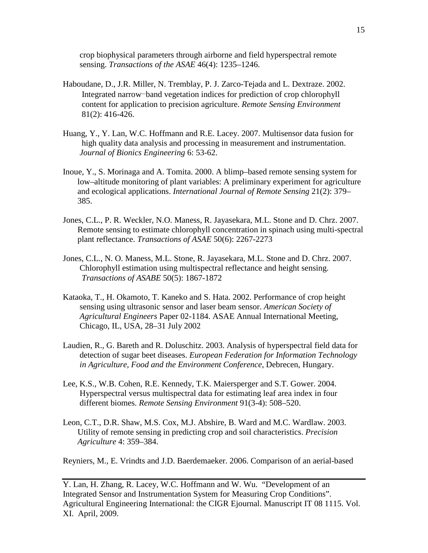crop biophysical parameters through airborne and field hyperspectral remote sensing. *Transactions of the ASAE* 46(4): 1235–1246.

- Haboudane, D., J.R. Miller, N. Tremblay, P. J. Zarco-Tejada and L. Dextraze. 2002. Integrated narrow-band vegetation indices for prediction of crop chlorophyll content for application to precision agriculture. *Remote Sensing Environment* 81(2): 416-426.
- Huang, Y., Y. Lan, W.C. Hoffmann and R.E. Lacey. 2007. Multisensor data fusion for high quality data analysis and processing in measurement and instrumentation.  *Journal of Bionics Engineering* 6: 53-62.
- Inoue, Y., S. Morinaga and A. Tomita. 2000. A blimp–based remote sensing system for low–altitude monitoring of plant variables: A preliminary experiment for agriculture and ecological applications. *International Journal of Remote Sensing* 21(2): 379– 385.
- Jones, C.L., P. R. Weckler, N.O. Maness, R. Jayasekara, M.L. Stone and D. Chrz. 2007. Remote sensing to estimate chlorophyll concentration in spinach using multi-spectral plant reflectance. *Transactions of ASAE* 50(6): 2267-2273
- Jones, C.L., N. O. Maness, M.L. Stone, R. Jayasekara, M.L. Stone and D. Chrz. 2007. Chlorophyll estimation using multispectral reflectance and height sensing. *Transactions of ASABE* 50(5): 1867-1872
- Kataoka, T., H. Okamoto, T. Kaneko and S. Hata. 2002. Performance of crop height sensing using ultrasonic sensor and laser beam sensor. *American Society of Agricultural Engineers* Paper 02-1184. ASAE Annual International Meeting, Chicago, IL, USA, 28–31 July 2002
- Laudien, R., G. Bareth and R. Doluschitz. 2003. Analysis of hyperspectral field data for detection of sugar beet diseases. *European Federation for Information Technology in Agriculture, Food and the Environment Conference*, Debrecen, Hungary.
- Lee, K.S., W.B. Cohen, R.E. Kennedy, T.K. Maiersperger and S.T. Gower. 2004. Hyperspectral versus multispectral data for estimating leaf area index in four different biomes. *Remote Sensing Environment* 91(3-4): 508–520.
- Leon, C.T., D.R. Shaw, M.S. Cox, M.J. Abshire, B. Ward and M.C. Wardlaw. 2003. Utility of remote sensing in predicting crop and soil characteristics. *Precision Agriculture* 4: 359–384.

Reyniers, M., E. Vrindts and J.D. Baerdemaeker. 2006. Comparison of an aerial-based

Y. Lan, H. Zhang, R. Lacey, W.C. Hoffmann and W. Wu. "Development of an Integrated Sensor and Instrumentation System for Measuring Crop Conditions". Agricultural Engineering International: the CIGR Ejournal. Manuscript IT 08 1115. Vol. XI. April, 2009.